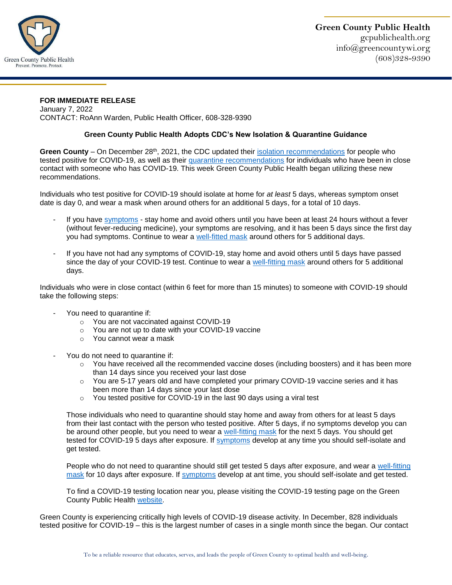

## **FOR IMMEDIATE RELEASE**  January 7, 2022

CONTACT: RoAnn Warden, Public Health Officer, 608-328-9390

## **Green County Public Health Adopts CDC's New Isolation & Quarantine Guidance**

Green County – On December 28<sup>th</sup>, 2021, the CDC updated their [isolation recommendations](https://www.cdc.gov/media/releases/2021/s1227-isolation-quarantine-guidance.html) for people who tested positive for COVID-19, as well as their [quarantine recommendations](https://www.cdc.gov/media/releases/2021/s1227-isolation-quarantine-guidance.html) for individuals who have been in close contact with someone who has COVID-19. This week Green County Public Health began utilizing these new recommendations.

Individuals who test positive for COVID-19 should isolate at home for *at least* 5 days, whereas symptom onset date is day 0, and wear a mask when around others for an additional 5 days, for a total of 10 days.

- If you have [symptoms](https://www.cdc.gov/coronavirus/2019-ncov/symptoms-testing/symptoms.html) stay home and avoid others until you have been at least 24 hours without a fever (without fever-reducing medicine), your symptoms are resolving, and it has been 5 days since the first day you had symptoms. Continue to wear a [well-fitted mask](https://www.cdc.gov/coronavirus/2019-ncov/prevent-getting-sick/about-face-coverings.html) around others for 5 additional days.
- If you have not had any symptoms of COVID-19, stay home and avoid others until 5 days have passed since the day of your COVID-19 test. Continue to wear a [well-fitting](https://www.cdc.gov/coronavirus/2019-ncov/prevent-getting-sick/about-face-coverings.html) mask around others for 5 additional days.

Individuals who were in close contact (within 6 feet for more than 15 minutes) to someone with COVID-19 should take the following steps:

- You need to quarantine if:
	- o You are not vaccinated against COVID-19
	- o You are not up to date with your COVID-19 vaccine
	- o You cannot wear a mask
- You do not need to quarantine if:
	- o You have received all the recommended vaccine doses (including boosters) and it has been more than 14 days since you received your last dose
	- o You are 5-17 years old and have completed your primary COVID-19 vaccine series and it has been more than 14 days since your last dose
	- o You tested positive for COVID-19 in the last 90 days using a viral test

Those individuals who need to quarantine should stay home and away from others for at least 5 days from their last contact with the person who tested positive. After 5 days, if no symptoms develop you can be around other people, but you need to wear a [well-fitting mask](https://www.cdc.gov/coronavirus/2019-ncov/prevent-getting-sick/about-face-coverings.html) for the next 5 days. You should get tested for COVID-19 5 days after exposure. If [symptoms](https://www.cdc.gov/coronavirus/2019-ncov/symptoms-testing/symptoms.html) develop at any time you should self-isolate and get tested.

People who do not need to quarantine should still get tested 5 days after exposure, and wear a [well-fitting](https://www.cdc.gov/coronavirus/2019-ncov/prevent-getting-sick/about-face-coverings.html)  [mask](https://www.cdc.gov/coronavirus/2019-ncov/prevent-getting-sick/about-face-coverings.html) for 10 days after exposure. If [symptoms](https://www.cdc.gov/coronavirus/2019-ncov/symptoms-testing/symptoms.html) develop at ant time, you should self-isolate and get tested.

To find a COVID-19 testing location near you, please visiting the COVID-19 testing page on the Green County Public Health [website.](https://wi-greencounty.civicplus.com/401/COVID-19-Testing)

Green County is experiencing critically high levels of COVID-19 disease activity. In December, 828 individuals tested positive for COVID-19 – this is the largest number of cases in a single month since the began. Our contact